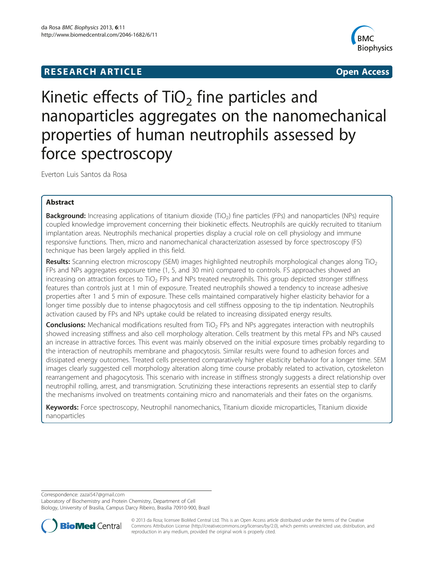# **RESEARCH ARTICLE CONSUMING A RESEARCH ARTICLE**



# Kinetic effects of  $TiO<sub>2</sub>$  fine particles and nanoparticles aggregates on the nanomechanical properties of human neutrophils assessed by force spectroscopy

Everton Luis Santos da Rosa

# Abstract

Background: Increasing applications of titanium dioxide (TiO<sub>2</sub>) fine particles (FPs) and nanoparticles (NPs) require coupled knowledge improvement concerning their biokinetic effects. Neutrophils are quickly recruited to titanium implantation areas. Neutrophils mechanical properties display a crucial role on cell physiology and immune responsive functions. Then, micro and nanomechanical characterization assessed by force spectroscopy (FS) technique has been largely applied in this field.

Results: Scanning electron microscopy (SEM) images highlighted neutrophils morphological changes along TiO<sub>2</sub> FPs and NPs aggregates exposure time (1, 5, and 30 min) compared to controls. FS approaches showed an increasing on attraction forces to  $TiO<sub>2</sub>$  FPs and NPs treated neutrophils. This group depicted stronger stiffness features than controls just at 1 min of exposure. Treated neutrophils showed a tendency to increase adhesive properties after 1 and 5 min of exposure. These cells maintained comparatively higher elasticity behavior for a longer time possibly due to intense phagocytosis and cell stiffness opposing to the tip indentation. Neutrophils activation caused by FPs and NPs uptake could be related to increasing dissipated energy results.

**Conclusions:** Mechanical modifications resulted from  $TiO<sub>2</sub>$  FPs and NPs aggregates interaction with neutrophils showed increasing stiffness and also cell morphology alteration. Cells treatment by this metal FPs and NPs caused an increase in attractive forces. This event was mainly observed on the initial exposure times probably regarding to the interaction of neutrophils membrane and phagocytosis. Similar results were found to adhesion forces and dissipated energy outcomes. Treated cells presented comparatively higher elasticity behavior for a longer time. SEM images clearly suggested cell morphology alteration along time course probably related to activation, cytoskeleton rearrangement and phagocytosis. This scenario with increase in stiffness strongly suggests a direct relationship over neutrophil rolling, arrest, and transmigration. Scrutinizing these interactions represents an essential step to clarify the mechanisms involved on treatments containing micro and nanomaterials and their fates on the organisms.

Keywords: Force spectroscopy, Neutrophil nanomechanics, Titanium dioxide microparticles, Titanium dioxide nanoparticles

Correspondence: [zazai547@gmail.com](mailto:zazai547@gmail.com)

Laboratory of Biochemistry and Protein Chemistry, Department of Cell Biology, University of Brasilia, Campus Darcy Ribeiro, Brasilia 70910-900, Brazil



© 2013 da Rosa; licensee BioMed Central Ltd. This is an Open Access article distributed under the terms of the Creative Commons Attribution License [\(http://creativecommons.org/licenses/by/2.0\)](http://creativecommons.org/licenses/by/2.0), which permits unrestricted use, distribution, and reproduction in any medium, provided the original work is properly cited.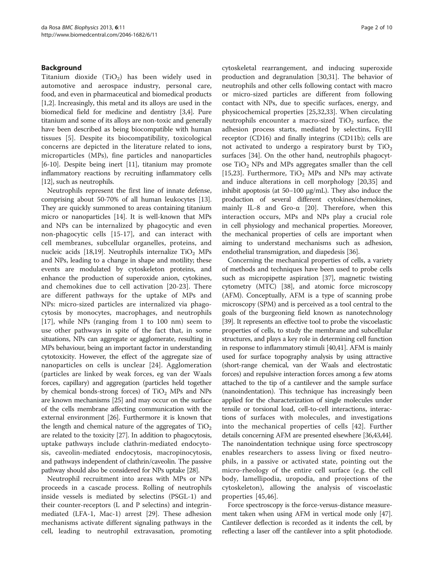# Background

Titanium dioxide  $(TiO<sub>2</sub>)$  has been widely used in automotive and aerospace industry, personal care, food, and even in pharmaceutical and biomedical products [[1,2](#page-8-0)]. Increasingly, this metal and its alloys are used in the biomedical field for medicine and dentistry [[3,4](#page-8-0)]. Pure titanium and some of its alloys are non-toxic and generally have been described as being biocompatible with human tissues [\[5](#page-8-0)]. Despite its biocompatibility, toxicological concerns are depicted in the literature related to ions, microparticles (MPs), fine particles and nanoparticles [[6-10\]](#page-8-0). Despite being inert [\[11\]](#page-8-0), titanium may promote inflammatory reactions by recruiting inflammatory cells [[12](#page-8-0)], such as neutrophils.

Neutrophils represent the first line of innate defense, comprising about 50-70% of all human leukocytes [[13](#page-8-0)]. They are quickly summoned to areas containing titanium micro or nanoparticles [\[14\]](#page-8-0). It is well-known that MPs and NPs can be internalized by phagocytic and even non-phagocytic cells [[15-17](#page-8-0)], and can interact with cell membranes, subcellular organelles, proteins, and nucleic acids [[18](#page-8-0)[,19](#page-9-0)]. Neutrophils internalize  $TiO<sub>2</sub>$  MPs and NPs, leading to a change in shape and motility; these events are modulated by cytoskeleton proteins, and enhance the production of superoxide anion, cytokines, and chemokines due to cell activation [[20-23\]](#page-9-0). There are different pathways for the uptake of MPs and NPs: micro-sized particles are internalized via phagocytosis by monocytes, macrophages, and neutrophils [[17](#page-8-0)], while NPs (ranging from 1 to 100 nm) seem to use other pathways in spite of the fact that, in some situations, NPs can aggregate or agglomerate, resulting in MPs behaviour, being an important factor in understanding cytotoxicity. However, the effect of the aggregate size of nanoparticles on cells is unclear [[24\]](#page-9-0). Agglomeration (particles are linked by weak forces, eg van der Waals forces, capillary) and aggregation (particles held together by chemical bonds-strong forces) of  $TiO<sub>2</sub>$  MPs and NPs are known mechanisms [[25](#page-9-0)] and may occur on the surface of the cells membrane affecting communication with the external environment [\[26\]](#page-9-0). Furthermore it is known that the length and chemical nature of the aggregates of  $TiO<sub>2</sub>$ are related to the toxicity [[27](#page-9-0)]. In addition to phagocytosis, uptake pathways include clathrin-mediated endocytosis, caveolin-mediated endocytosis, macropinocytosis, and pathways independent of clathrin/caveolin. The passive pathway should also be considered for NPs uptake [\[28\]](#page-9-0).

Neutrophil recruitment into areas with MPs or NPs proceeds in a cascade process. Rolling of neutrophils inside vessels is mediated by selectins (PSGL-1) and their counter-receptors (L and P selectins) and integrinmediated (LFA-1, Mac-1) arrest [[29](#page-9-0)]. These adhesion mechanisms activate different signaling pathways in the cell, leading to neutrophil extravasation, promoting cytoskeletal rearrangement, and inducing superoxide production and degranulation [\[30,31](#page-9-0)]. The behavior of neutrophils and other cells following contact with macro or micro-sized particles are different from following contact with NPs, due to specific surfaces, energy, and physicochemical properties [[25,32](#page-9-0),[33](#page-9-0)]. When circulating neutrophils encounter a macro-sized  $TiO<sub>2</sub>$  surface, the adhesion process starts, mediated by selectins, FcγIII receptor (CD16) and finally integrins (CD11b); cells are not activated to undergo a respiratory burst by  $TiO<sub>2</sub>$ surfaces [\[34](#page-9-0)]. On the other hand, neutrophils phagocytose  $TiO<sub>2</sub>$  NPs and MPs aggregates smaller than the cell [[15,](#page-8-0)[23\]](#page-9-0). Furthermore,  $TiO<sub>2</sub>$  MPs and NPs may activate and induce alterations in cell morphology [[20](#page-9-0),[35](#page-9-0)] and inhibit apoptosis (at 50–100 μg/mL). They also induce the production of several different cytokines/chemokines, mainly IL-8 and Gro-α [[20\]](#page-9-0). Therefore, when this interaction occurs, MPs and NPs play a crucial role in cell physiology and mechanical properties. Moreover, the mechanical properties of cells are important when aiming to understand mechanisms such as adhesion, endothelial transmigration, and diapedesis [[36\]](#page-9-0).

Concerning the mechanical properties of cells, a variety of methods and techniques have been used to probe cells such as micropipette aspiration [\[37](#page-9-0)], magnetic twisting cytometry (MTC) [\[38\]](#page-9-0), and atomic force microscopy (AFM). Conceptually, AFM is a type of scanning probe microscopy (SPM) and is perceived as a tool central to the goals of the burgeoning field known as nanotechnology [[39](#page-9-0)]. It represents an effective tool to probe the viscoelastic properties of cells, to study the membrane and subcellular structures, and plays a key role in determining cell function in response to inflammatory stimuli [\[40,41](#page-9-0)]. AFM is mainly used for surface topography analysis by using attractive (short-range chemical, van der Waals and electrostatic forces) and repulsive interaction forces among a few atoms attached to the tip of a cantilever and the sample surface (nanoindentation). This technique has increasingly been applied for the characterization of single molecules under tensile or torsional load, cell-to-cell interactions, interactions of surfaces with molecules, and investigations into the mechanical properties of cells [\[42](#page-9-0)]. Further details concerning AFM are presented elsewhere [\[36,43,44](#page-9-0)]. The nanoindentation technique using force spectroscopy enables researchers to assess living or fixed neutrophils, in a passive or activated state, pointing out the micro-rheology of the entire cell surface (e.g. the cell body, lamellipodia, uropodia, and projections of the cytoskeleton), allowing the analysis of viscoelastic properties [[45,46](#page-9-0)].

Force spectroscopy is the force-versus-distance measurement taken when using AFM in vertical mode only [\[47](#page-9-0)]. Cantilever deflection is recorded as it indents the cell, by reflecting a laser off the cantilever into a split photodiode.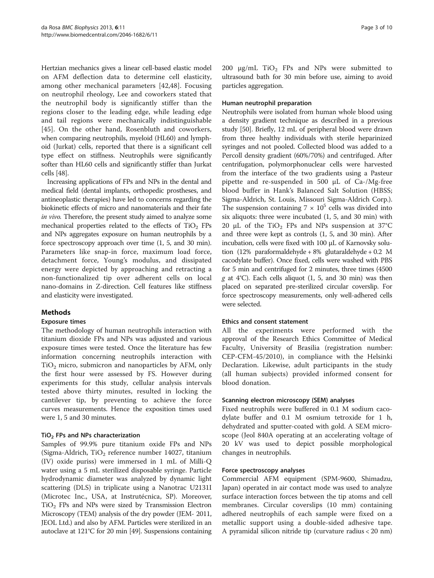Hertzian mechanics gives a linear cell-based elastic model on AFM deflection data to determine cell elasticity, among other mechanical parameters [\[42](#page-9-0),[48\]](#page-9-0). Focusing on neutrophil rheology, Lee and coworkers stated that the neutrophil body is significantly stiffer than the regions closer to the leading edge, while leading edge and tail regions were mechanically indistinguishable [[45\]](#page-9-0). On the other hand, Rosenbluth and coworkers, when comparing neutrophils, myeloid (HL60) and lymphoid (Jurkat) cells, reported that there is a significant cell type effect on stiffness. Neutrophils were significantly softer than HL60 cells and significantly stiffer than Jurkat cells [[48](#page-9-0)].

Increasing applications of FPs and NPs in the dental and medical field (dental implants, orthopedic prostheses, and antineoplastic therapies) have led to concerns regarding the biokinetic effects of micro and nanomaterials and their fate in vivo. Therefore, the present study aimed to analyze some mechanical properties related to the effects of  $TiO<sub>2</sub>$  FPs and NPs aggregates exposure on human neutrophils by a force spectroscopy approach over time (1, 5, and 30 min). Parameters like snap-in force, maximum load force, detachment force, Young's modulus, and dissipated energy were depicted by approaching and retracting a non-functionalized tip over adherent cells on local nano-domains in Z-direction. Cell features like stiffness and elasticity were investigated.

# Methods

# Exposure times

The methodology of human neutrophils interaction with titanium dioxide FPs and NPs was adjusted and various exposure times were tested. Once the literature has few information concerning neutrophils interaction with  $TiO<sub>2</sub>$  micro, submicron and nanoparticles by AFM, only the first hour were assessed by FS. However during experiments for this study, cellular analysis intervals tested above thirty minutes, resulted in locking the cantilever tip, by preventing to achieve the force curves measurements. Hence the exposition times used were 1, 5 and 30 minutes.

# $TiO<sub>2</sub>$  FPs and NPs characterization

Samples of 99.9% pure titanium oxide FPs and NPs (Sigma-Aldrich,  $TiO<sub>2</sub>$  reference number 14027, titanium (IV) oxide puriss) were immersed in 1 mL of Milli-Q water using a 5 mL sterilized disposable syringe. Particle hydrodynamic diameter was analyzed by dynamic light scattering (DLS) in triplicate using a Nanotrac U2131I (Microtec Inc., USA, at Instrutécnica, SP). Moreover,  $TiO<sub>2</sub>$  FPs and NPs were sized by Transmission Electron Microscopy (TEM) analysis of the dry powder (JEM- 2011, JEOL Ltd.) and also by AFM. Particles were sterilized in an autoclave at 121°C for 20 min [\[49\]](#page-9-0). Suspensions containing 200  $\mu$ g/mL TiO<sub>2</sub> FPs and NPs were submitted to ultrasound bath for 30 min before use, aiming to avoid particles aggregation.

#### Human neutrophil preparation

Neutrophils were isolated from human whole blood using a density gradient technique as described in a previous study [\[50](#page-9-0)]. Briefly, 12 mL of peripheral blood were drawn from three healthy individuals with sterile heparinized syringes and not pooled. Collected blood was added to a Percoll density gradient (60%/70%) and centrifuged. After centrifugation, polymorphonuclear cells were harvested from the interface of the two gradients using a Pasteur pipette and re-suspended in 500 μL of Ca-/Mg-free blood buffer in Hank's Balanced Salt Solution (HBSS; Sigma-Aldrich, St. Louis, Missouri Sigma-Aldrich Corp.). The suspension containing  $7 \times 10^5$  cells was divided into six aliquots: three were incubated (1, 5, and 30 min) with 20  $\mu$ L of the TiO<sub>2</sub> FPs and NPs suspension at 37°C and three were kept as controls (1, 5, and 30 min). After incubation, cells were fixed with 100 μL of Karnovsky solution (12% paraformaldehyde + 8% glutaraldehyde + 0.2 M cacodylate buffer). Once fixed, cells were washed with PBS for 5 min and centrifuged for 2 minutes, three times (4500 g at 4°C). Each cells aliquot (1, 5, and 30 min) was then placed on separated pre-sterilized circular coverslip. For force spectroscopy measurements, only well-adhered cells were selected.

# Ethics and consent statement

All the experiments were performed with the approval of the Research Ethics Committee of Medical Faculty, University of Brasilia (registration number: CEP-CFM-45/2010), in compliance with the Helsinki Declaration. Likewise, adult participants in the study (all human subjects) provided informed consent for blood donation.

# Scanning electron microscopy (SEM) analyses

Fixed neutrophils were buffered in 0.1 M sodium cacodylate buffer and 0.1 M osmium tetroxide for 1 h, dehydrated and sputter-coated with gold. A SEM microscope (Jeol 840A operating at an accelerating voltage of 20 kV was used to depict possible morphological changes in neutrophils.

# Force spectroscopy analyses

Commercial AFM equipment (SPM-9600, Shimadzu, Japan) operated in air contact mode was used to analyze surface interaction forces between the tip atoms and cell membranes. Circular coverslips (10 mm) containing adhered neutrophils of each sample were fixed on a metallic support using a double-sided adhesive tape. A pyramidal silicon nitride tip (curvature radius < 20 nm)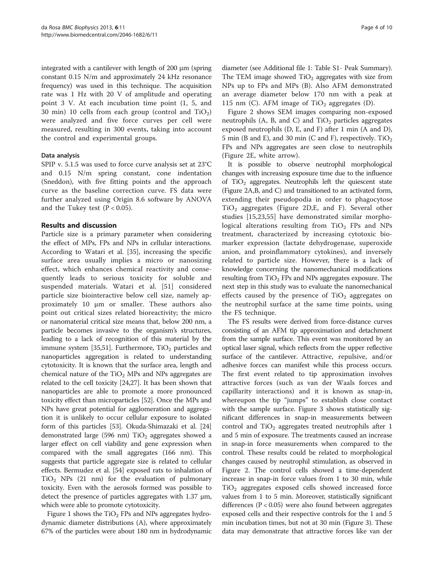integrated with a cantilever with length of 200 μm (spring constant 0.15 N/m and approximately 24 kHz resonance frequency) was used in this technique. The acquisition rate was 1 Hz with 20 V of amplitude and operating point 3 V. At each incubation time point (1, 5, and 30 min) 10 cells from each group (control and  $TiO<sub>2</sub>$ ) were analyzed and five force curves per cell were measured, resulting in 300 events, taking into account the control and experimental groups.

#### Data analysis

SPIP v. 5.1.5 was used to force curve analysis set at 23°C and 0.15 N/m spring constant, cone indentation (Sneddon), with five fitting points and the approach curve as the baseline correction curve. FS data were further analyzed using Origin 8.6 software by ANOVA and the Tukey test  $(P < 0.05)$ .

# Results and discussion

Particle size is a primary parameter when considering the effect of MPs, FPs and NPs in cellular interactions. According to Watari et al. [[35](#page-9-0)], increasing the specific surface area usually implies a micro or nanosizing effect, which enhances chemical reactivity and consequently leads to serious toxicity for soluble and suspended materials. Watari et al. [\[51](#page-9-0)] considered particle size biointeractive below cell size, namely approximately 10 μm or smaller. These authors also point out critical sizes related bioreactivity; the micro or nanomaterial critical size means that, below 200 nm, a particle becomes invasive to the organism's structures, leading to a lack of recognition of this material by the immune system [\[35,51](#page-9-0)]. Furthermore,  $TiO<sub>2</sub>$  particles and nanoparticles aggregation is related to understanding cytotoxicity. It is known that the surface area, length and chemical nature of the  $TiO<sub>2</sub>$  MPs and NPs aggregates are related to the cell toxicity [\[24,27\]](#page-9-0). It has been shown that nanoparticles are able to promote a more pronounced toxicity effect than microparticles [\[52\]](#page-9-0). Once the MPs and NPs have great potential for agglomeration and aggregation it is unlikely to occur cellular exposure to isolated form of this particles [[53](#page-9-0)]. Okuda-Shimazaki et al. [[24](#page-9-0)] demonstrated large (596 nm)  $TiO<sub>2</sub>$  aggregates showed a larger effect on cell viability and gene expression when compared with the small aggregates (166 nm). This suggests that particle aggregate size is related to cellular effects. Bermudez et al. [[54](#page-9-0)] exposed rats to inhalation of  $TiO<sub>2</sub>$  NPs (21 nm) for the evaluation of pulmonary toxicity. Even with the aerosols formed was possible to detect the presence of particles aggregates with 1.37 μm, which were able to promote cytotoxicity.

Figure [1](#page-4-0) shows the  $TiO<sub>2</sub>$  FPs and NPs aggregates hydrodynamic diameter distributions (A), where approximately 67% of the particles were about 180 nm in hydrodynamic

diameter (see Additional file [1:](#page-8-0) Table S1- Peak Summary). The TEM image showed  $TiO<sub>2</sub>$  aggregates with size from NPs up to FPs and MPs (B). Also AFM demonstrated an average diameter below 170 nm with a peak at 115 nm (C). AFM image of  $TiO<sub>2</sub>$  aggregates (D).

Figure [2](#page-5-0) shows SEM images comparing non-exposed neutrophils (A, B, and C) and  $TiO<sub>2</sub>$  particles aggregates exposed neutrophils (D, E, and F) after 1 min (A and D), 5 min (B and E), and 30 min (C and F), respectively. TiO<sub>2</sub> FPs and NPs aggregates are seen close to neutrophils (Figure [2](#page-5-0)E, white arrow).

It is possible to observe neutrophil morphological changes with increasing exposure time due to the influence of  $TiO<sub>2</sub>$  aggregates. Neutrophils left the quiescent state (Figure [2](#page-5-0)A,B, and C) and transitioned to an activated form, extending their pseudopodia in order to phagocytose  $TiO<sub>2</sub>$  aggregates (Figure [2D](#page-5-0), E, and F). Several other studies [\[15](#page-8-0),[23,55\]](#page-9-0) have demonstrated similar morphological alterations resulting from  $TiO<sub>2</sub>$  FPs and NPs treatment, characterized by increasing cytotoxic biomarker expression (lactate dehydrogenase, superoxide anion, and proinflammatory cytokines), and inversely related to particle size. However, there is a lack of knowledge concerning the nanomechanical modifications resulting from  $TiO<sub>2</sub>$  FPs and NPs aggregates exposure. The next step in this study was to evaluate the nanomechanical effects caused by the presence of  $TiO<sub>2</sub>$  aggregates on the neutrophil surface at the same time points, using the FS technique.

The FS results were derived from force-distance curves consisting of an AFM tip approximation and detachment from the sample surface. This event was monitored by an optical laser signal, which reflects from the upper reflective surface of the cantilever. Attractive, repulsive, and/or adhesive forces can manifest while this process occurs. The first event related to tip approximation involves attractive forces (such as van der Waals forces and capillarity interactions) and it is known as snap-in, whereupon the tip "jumps" to establish close contact with the sample surface. Figure [3](#page-6-0) shows statistically significant differences in snap-in measurements between control and  $TiO<sub>2</sub>$  aggregates treated neutrophils after 1 and 5 min of exposure. The treatments caused an increase in snap-in force measurements when compared to the control. These results could be related to morphological changes caused by neutrophil stimulation, as observed in Figure [2.](#page-5-0) The control cells showed a time-dependent increase in snap-in force values from 1 to 30 min, while  $TiO<sub>2</sub>$  aggregates exposed cells showed increased force values from 1 to 5 min. Moreover, statistically significant differences ( $P < 0.05$ ) were also found between aggregates exposed cells and their respective controls for the 1 and 5 min incubation times, but not at 30 min (Figure [3](#page-6-0)). These data may demonstrate that attractive forces like van der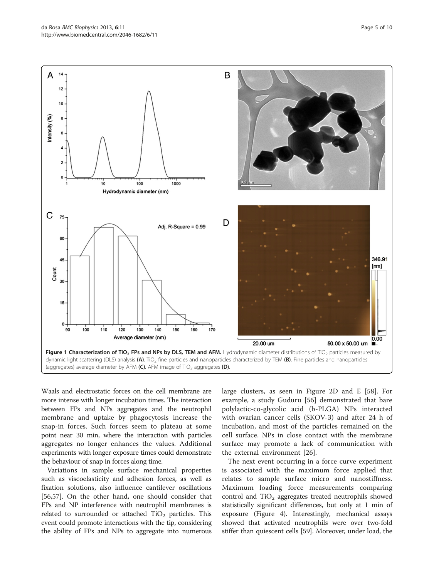Waals and electrostatic forces on the cell membrane are more intense with longer incubation times. The interaction between FPs and NPs aggregates and the neutrophil membrane and uptake by phagocytosis increase the snap-in forces. Such forces seem to plateau at some point near 30 min, where the interaction with particles aggregates no longer enhances the values. Additional experiments with longer exposure times could demonstrate the behaviour of snap in forces along time.

Variations in sample surface mechanical properties such as viscoelasticity and adhesion forces, as well as fixation solutions, also influence cantilever oscillations [[56,57\]](#page-9-0). On the other hand, one should consider that FPs and NP interference with neutrophil membranes is related to surrounded or attached  $TiO<sub>2</sub>$  particles. This event could promote interactions with the tip, considering the ability of FPs and NPs to aggregate into numerous large clusters, as seen in Figure [2D](#page-5-0) and E [[58\]](#page-9-0). For example, a study Guduru [\[56](#page-9-0)] demonstrated that bare polylactic-co-glycolic acid (b-PLGA) NPs interacted with ovarian cancer cells (SKOV-3) and after 24 h of incubation, and most of the particles remained on the cell surface. NPs in close contact with the membrane surface may promote a lack of communication with the external environment [[26\]](#page-9-0).

The next event occurring in a force curve experiment is associated with the maximum force applied that relates to sample surface micro and nanostiffness. Maximum loading force measurements comparing control and  $TiO<sub>2</sub>$  aggregates treated neutrophils showed statistically significant differences, but only at 1 min of exposure (Figure [4](#page-6-0)). Interestingly, mechanical assays showed that activated neutrophils were over two-fold stiffer than quiescent cells [[59](#page-9-0)]. Moreover, under load, the

<span id="page-4-0"></span>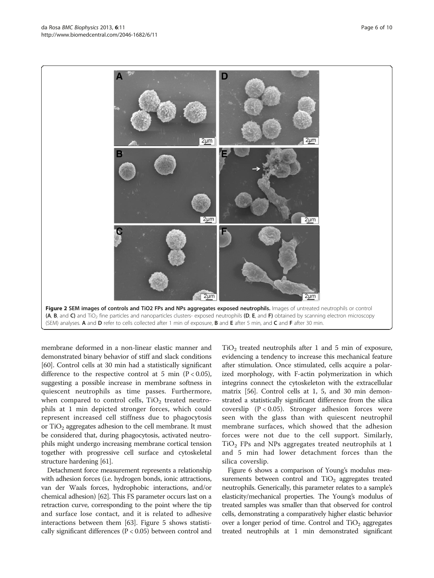membrane deformed in a non-linear elastic manner and demonstrated binary behavior of stiff and slack conditions [[60](#page-9-0)]. Control cells at 30 min had a statistically significant difference to the respective control at 5 min  $(P < 0.05)$ , suggesting a possible increase in membrane softness in quiescent neutrophils as time passes. Furthermore, when compared to control cells,  $TiO<sub>2</sub>$  treated neutrophils at 1 min depicted stronger forces, which could represent increased cell stiffness due to phagocytosis or  $TiO<sub>2</sub>$  aggregates adhesion to the cell membrane. It must be considered that, during phagocytosis, activated neutrophils might undergo increasing membrane cortical tension together with progressive cell surface and cytoskeletal structure hardening [\[61\]](#page-9-0).

Detachment force measurement represents a relationship with adhesion forces (i.e. hydrogen bonds, ionic attractions, van der Waals forces, hydrophobic interactions, and/or chemical adhesion) [\[62\]](#page-9-0). This FS parameter occurs last on a retraction curve, corresponding to the point where the tip and surface lose contact, and it is related to adhesive interactions between them [\[63\]](#page-9-0). Figure [5](#page-6-0) shows statistically significant differences (P < 0.05) between control and

 $TiO<sub>2</sub>$  treated neutrophils after 1 and 5 min of exposure, evidencing a tendency to increase this mechanical feature after stimulation. Once stimulated, cells acquire a polarized morphology, with F-actin polymerization in which integrins connect the cytoskeleton with the extracellular matrix [\[56\]](#page-9-0). Control cells at 1, 5, and 30 min demonstrated a statistically significant difference from the silica coverslip  $(P < 0.05)$ . Stronger adhesion forces were seen with the glass than with quiescent neutrophil membrane surfaces, which showed that the adhesion forces were not due to the cell support. Similarly,  $TiO<sub>2</sub>$  FPs and NPs aggregates treated neutrophils at 1 and 5 min had lower detachment forces than the silica coverslip.

Figure [6](#page-7-0) shows a comparison of Young's modulus measurements between control and  $TiO<sub>2</sub>$  aggregates treated neutrophils. Generically, this parameter relates to a sample's elasticity/mechanical properties. The Young's modulus of treated samples was smaller than that observed for control cells, demonstrating a comparatively higher elastic behavior over a longer period of time. Control and  $TiO<sub>2</sub>$  aggregates treated neutrophils at 1 min demonstrated significant

<span id="page-5-0"></span>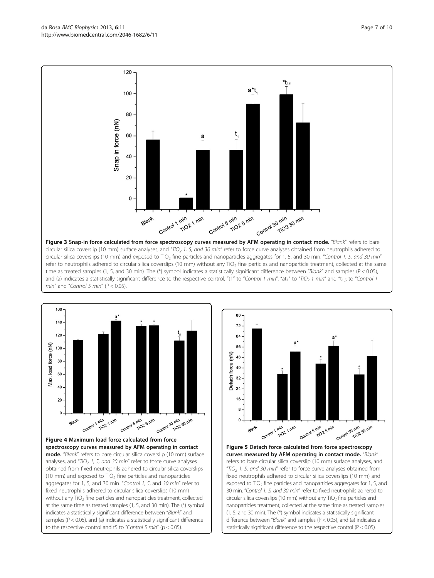<span id="page-6-0"></span>da Rosa BMC Biophysics 2013, 6:11 **Page 7 of 10** Page 7 of 10 http://www.biomedcentral.com/2046-1682/6/11



and (a) indicates a statistically significant difference to the respective control, "t1" to "Control 1 min", "at<sub>1</sub>" to "TiO<sub>2</sub> 1 min" and "t<sub>1.5</sub> to "Control 1





Figure 5 Detach force calculated from force spectroscopy curves measured by AFM operating in contact mode. "Blank" refers to bare circular silica coverslip (10 mm) surface analyses, and "TiO<sub>2</sub> 1, 5, and 30 min" refer to force curve analyses obtained from fixed neutrophils adhered to circular silica coverslips (10 mm) and exposed to  $TiO<sub>2</sub>$  fine particles and nanoparticles aggregates for 1, 5, and 30 min. "Control 1, 5, and 30 min" refer to fixed neutrophils adhered to circular silica coverslips (10 mm) without any  $TiO<sub>2</sub>$  fine particles and nanoparticles treatment, collected at the same time as treated samples (1, 5, and 30 min). The (\*) symbol indicates a statistically significant difference between "Blank" and samples (P < 0.05), and (a) indicates a statistically significant difference to the respective control (P < 0.05).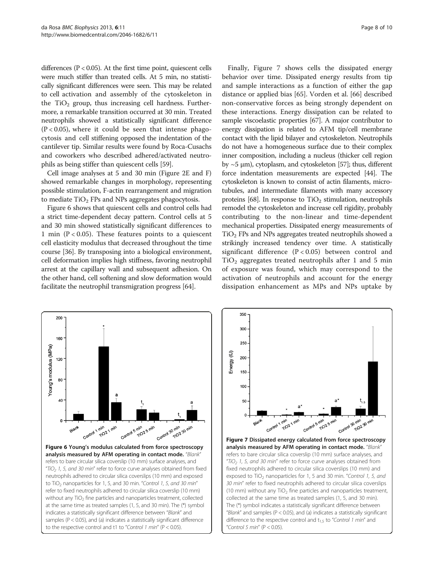<span id="page-7-0"></span>differences ( $P < 0.05$ ). At the first time point, quiescent cells were much stiffer than treated cells. At 5 min, no statistically significant differences were seen. This may be related to cell activation and assembly of the cytoskeleton in the  $TiO<sub>2</sub>$  group, thus increasing cell hardness. Furthermore, a remarkable transition occurred at 30 min. Treated neutrophils showed a statistically significant difference  $(P < 0.05)$ , where it could be seen that intense phagocytosis and cell stiffening opposed the indentation of the cantilever tip. Similar results were found by Roca-Cusachs and coworkers who described adhered/activated neutrophils as being stiffer than quiescent cells [[59](#page-9-0)].

Cell image analyses at 5 and 30 min (Figure [2E](#page-5-0) and F) showed remarkable changes in morphology, representing possible stimulation, F-actin rearrangement and migration to mediate  $TiO<sub>2</sub>$  FPs and NPs aggregates phagocytosis.

Figure 6 shows that quiescent cells and control cells had a strict time-dependent decay pattern. Control cells at 5 and 30 min showed statistically significant differences to 1 min ( $P < 0.05$ ). These features points to a quiescent cell elasticity modulus that decreased throughout the time course [\[36\]](#page-9-0). By transposing into a biological environment, cell deformation implies high stiffness, favoring neutrophil arrest at the capillary wall and subsequent adhesion. On the other hand, cell softening and slow deformation would facilitate the neutrophil transmigration progress [[64](#page-9-0)].

Finally, Figure 7 shows cells the dissipated energy behavior over time. Dissipated energy results from tip and sample interactions as a function of either the gap distance or applied bias [[65\]](#page-9-0). Vorden et al. [[66\]](#page-9-0) described non-conservative forces as being strongly dependent on these interactions. Energy dissipation can be related to sample viscoelastic properties [\[67\]](#page-9-0). A major contributor to energy dissipation is related to AFM tip/cell membrane contact with the lipid bilayer and cytoskeleton. Neutrophils do not have a homogeneous surface due to their complex inner composition, including a nucleus (thicker cell region by ~5 μm), cytoplasm, and cytoskeleton [[57\]](#page-9-0); thus, different force indentation measurements are expected [\[44](#page-9-0)]. The cytoskeleton is known to consist of actin filaments, microtubules, and intermediate filaments with many accessory proteins [\[68](#page-9-0)]. In response to  $TiO<sub>2</sub>$  stimulation, neutrophils remodel the cytoskeleton and increase cell rigidity, probably contributing to the non-linear and time-dependent mechanical properties. Dissipated energy measurements of  $TiO<sub>2</sub>$  FPs and NPs aggregates treated neutrophils showed a strikingly increased tendency over time. A statistically significant difference  $(P < 0.05)$  between control and  $TiO<sub>2</sub>$  aggregates treated neutrophils after 1 and 5 min of exposure was found, which may correspond to the activation of neutrophils and account for the energy dissipation enhancement as MPs and NPs uptake by



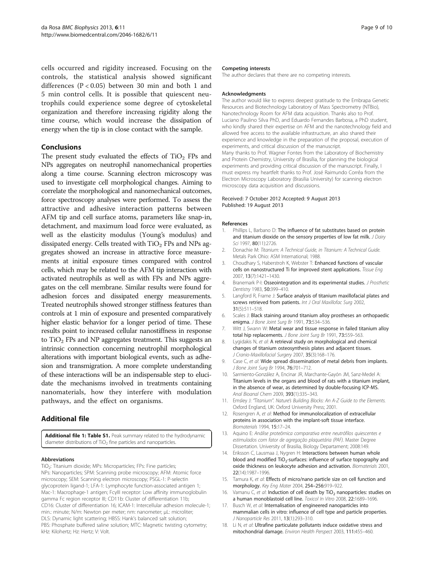<span id="page-8-0"></span>cells occurred and rigidity increased. Focusing on the controls, the statistical analysis showed significant differences (P < 0.05) between 30 min and both 1 and 5 min control cells. It is possible that quiescent neutrophils could experience some degree of cytoskeletal organization and therefore increasing rigidity along the time course, which would increase the dissipation of energy when the tip is in close contact with the sample.

# Conclusions

The present study evaluated the effects of  $TiO<sub>2</sub>$  FPs and NPs aggregates on neutrophil nanomechanical properties along a time course. Scanning electron microscopy was used to investigate cell morphological changes. Aiming to correlate the morphological and nanomechanical outcomes, force spectroscopy analyses were performed. To assess the attractive and adhesive interaction patterns between AFM tip and cell surface atoms, parameters like snap-in, detachment, and maximum load force were evaluated, as well as the elasticity modulus (Young's modulus) and dissipated energy. Cells treated with  $TiO<sub>2</sub>$  FPs and NPs aggregates showed an increase in attractive force measurements at initial exposure times compared with control cells, which may be related to the AFM tip interaction with activated neutrophils as well as with FPs and NPs aggregates on the cell membrane. Similar results were found for adhesion forces and dissipated energy measurements. Treated neutrophils showed stronger stiffness features than controls at 1 min of exposure and presented comparatively higher elastic behavior for a longer period of time. These results point to increased cellular nanostiffness in response to  $TiO<sub>2</sub>$  FPs and NP aggregates treatment. This suggests an intrinsic connection concerning neutrophil morphological alterations with important biological events, such as adhesion and transmigration. A more complete understanding of these interactions will be an indispensable step to elucidate the mechanisms involved in treatments containing nanomaterials, how they interfere with modulation pathways, and the effect on organisms.

# Additional file

[Additional file 1: Table S1.](http://www.biomedcentral.com/content/supplementary/2046-1682-6-11-S1.doc) Peak summary related to the hydrodynamic diameter distributions of TiO<sub>2</sub> fine particles and nanoparticles.

#### Abbreviations

TiO<sub>2</sub>: Titanium dioxide; MPs: Microparticles; FPs: Fine particles; NPs: Nanoparticles; SPM: Scanning probe microscopy; AFM: Atomic force microscopy; SEM: Scanning electron microscopy; PSGL-1: P-selectin glycoprotein ligand-1; LFA-1: Lymphocyte function-associated antigen 1; Mac-1: Macrophage-1 antigen; FcγIII receptor: Low affinity immunoglobulin gamma Fc region receptor III; CD11b: Cluster of differentiation 11b; CD16: Cluster of differentiation 16; ICAM-1: Intercellular adhesion molecule-1; min.: minute; N/m: Newton per meter; nm: nanometer; μL: microliter; DLS: Dynamic light scattering; HBSS: Hank's balanced salt solution; PBS: Phosphate buffered saline solution; MTC: Magnetic twisting cytometry; kHz: Kilohertz; Hz: Hertz; V: Volt.

#### Competing interests

The author declares that there are no competing interests.

#### Acknowledgments

The author would like to express deepest gratitude to the Embrapa Genetic Resources and Biotechnology Laboratory of Mass Spectrometry (NTBio), Nanotechnology Room for AFM data acquisition. Thanks also to Prof. Luciano Paulino Silva PhD, and Eduardo Fernandes Barbosa, a PhD student, who kindly shared their expertise on AFM and the nanotechnology field and allowed free access to the available infrastructure, an also shared their experience and knowledge in the preparation of the proposal, execution of experiments, and critical discussion of the manuscript. Many thanks to Prof. Wagner Fontes from the Laboratory of Biochemistry and Protein Chemistry, University of Brasília, for planning the biological experiments and providing critical discussion of the manuscript. Finally, I must express my heartfelt thanks to Prof. José Raimundo Corrêa from the Electron Microscopy Laboratory (Brasilia University) for scanning electron microscopy data acquisition and discussions.

#### Received: 7 October 2012 Accepted: 9 August 2013 Published: 19 August 2013

#### References

- Phillips L, Barbano D: The influence of fat substitutes based on protein and titanium dioxide on the sensory properties of low fat milk. J Dairy Sci 1997, 80(11):2726.
- 2. Donachie M: Titanium: A Technical Guide, in Titanium: A Technical Guide. Metals Park Ohio: ASM International; 1988.
- 3. Choudhary S, Haberstroh K, Webster T: Enhanced functions of vascular cells on nanostructured Ti for improved stent applications. Tissue Eng 2007, 13(7):1421–1430.
- 4. Branemark P-I: Osseointegration and its experimental studies. J Prosthetic Dentistry 1983, 50:399–410.
- 5. Langford R, Frame J: Surface analysis of titanium maxillofacial plates and screws retrieved from patients. Int J Oral Maxillofac Surg 2002, 31(5):511–518.
- 6. Scales J: Black staining around titanium alloy prostheses an orthopaedic enigma. J Bone Joint Surg Br 1991, 73:534–536.
- 7. Witt J, Swann W: Metal wear and tissue response in failed titanium alloy total hip replacements. J Bone Joint Surg Br 1991, 73:559-563.
- 8. Lygidakis N, et al: A retrieval study on morphological and chemical changes of titanium osteosynthesis plates and adjacent tissues. J Cranio-Maxillofacial Surgery 2007, 35(3):168–176.
- 9. Case C, et al: Wide spread dissemination of metal debris from implants. J Bone Joint Surg Br 1994, 76:701–712.
- 10. Sarmiento-González A, Encinar JR, Marchante-Gayón JM, Sanz-Medel A: Titanium levels in the organs and blood of rats with a titanium implant, in the absence of wear, as determined by double-focusing ICP-MS. Anal Bioanal Chem 2009, 393(1):335–343.
- 11. Emsley J: "Titanium". Nature's Building Blocks: An A-Z Guide to the Elements. Oxford England, UK: Oxford University Press; 2001.
- 12. Rosengren A, et al: Method for immunolocalization of extracellular proteins in association with the implant-soft tissue interface. Biomaterials 1994, 15:17–24.
- 13. Aquino E: Análise proteômica comparativa entre neutrófilos quiescentes e estimulados com fator de agregação plaquetária (PAF). Master Degree Dissertation. University of Brasilia, Biology Departament; 2008:149.
- 14. Eriksson C, Lausmaa J, Nygren H: Interactions between human whole blood and modified  $TiO<sub>2</sub>$ -surfaces: influence of surface topography and oxide thickness on leukocyte adhesion and activation. Biomaterials 2001, 22(14):1987–1996.
- 15. Tamura K, et al: Effects of micro/nano particle size on cell function and morphology. Key Eng Mater 2004, 254–256:919–922.
- 16. Vamanu C, et al: Induction of cell death by  $TiO<sub>2</sub>$  nanoparticles: studies on a human monoblastoid cell line. Toxicol In Vitro 2008, 22:1689–1696.
- 17. Busch W, et al: Internalisation of engineered nanoparticles into mammalian cells in vitro: influence of cell type and particle properties. J Nanoparticle Res 2011, 13(1):293–310.
- 18. Li N, et al: Ultrafine particulate pollutants induce oxidative stress and mitochondrial damage. Environ Health Perspect 2003, 111:455–460.